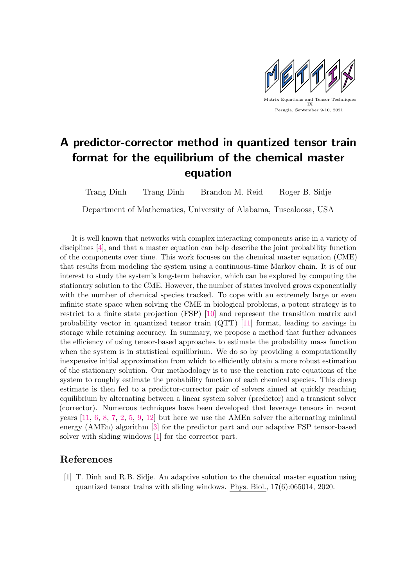

## A predictor-corrector method in quantized tensor train format for the equilibrium of the chemical master equation

Trang Dinh Trang Dinh Brandon M. Reid Roger B. Sidje

Department of Mathematics, University of Alabama, Tuscaloosa, USA

It is well known that networks with complex interacting components arise in a variety of disciplines [\[4\]](#page-1-0), and that a master equation can help describe the joint probability function of the components over time. This work focuses on the chemical master equation (CME) that results from modeling the system using a continuous-time Markov chain. It is of our interest to study the system's long-term behavior, which can be explored by computing the stationary solution to the CME. However, the number of states involved grows exponentially with the number of chemical species tracked. To cope with an extremely large or even infinite state space when solving the CME in biological problems, a potent strategy is to restrict to a finite state projection (FSP) [\[10\]](#page-1-1) and represent the transition matrix and probability vector in quantized tensor train (QTT) [\[11\]](#page-1-2) format, leading to savings in storage while retaining accuracy. In summary, we propose a method that further advances the efficiency of using tensor-based approaches to estimate the probability mass function when the system is in statistical equilibrium. We do so by providing a computationally inexpensive initial approximation from which to efficiently obtain a more robust estimation of the stationary solution. Our methodology is to use the reaction rate equations of the system to roughly estimate the probability function of each chemical species. This cheap estimate is then fed to a predictor-corrector pair of solvers aimed at quickly reaching equilibrium by alternating between a linear system solver (predictor) and a transient solver (corrector). Numerous techniques have been developed that leverage tensors in recent years [\[11,](#page-1-2) [6,](#page-1-3) [8,](#page-1-4) [7,](#page-1-5) [2,](#page-1-6) [5,](#page-1-7) [9,](#page-1-8) [12\]](#page-1-9) but here we use the AMEn solver the alternating minimal energy (AMEn) algorithm [\[3\]](#page-1-10) for the predictor part and our adaptive FSP tensor-based solver with sliding windows [\[1\]](#page-0-0) for the corrector part.

## References

<span id="page-0-0"></span>[1] T. Dinh and R.B. Sidje. An adaptive solution to the chemical master equation using quantized tensor trains with sliding windows. Phys. Biol., 17(6):065014, 2020.